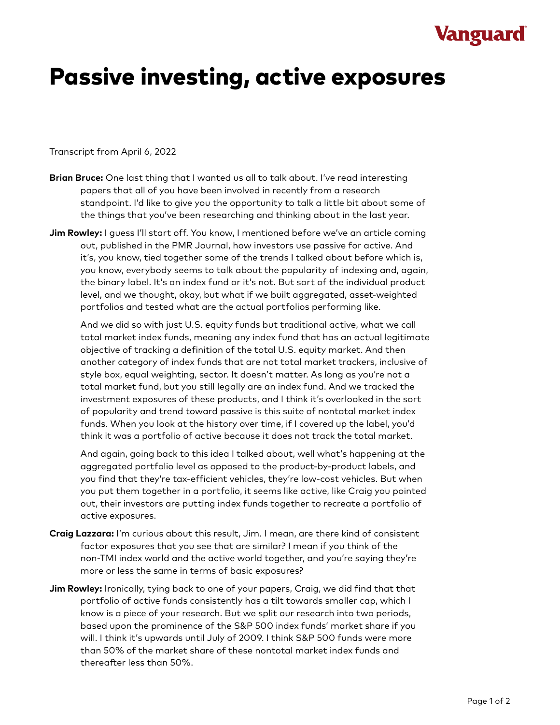## **Vanguard**

## Passive investing, active exposures

Transcript from April 6, 2022

- **Brian Bruce:** One last thing that I wanted us all to talk about. I've read interesting papers that all of you have been involved in recently from a research standpoint. I'd like to give you the opportunity to talk a little bit about some of the things that you've been researching and thinking about in the last year.
- **Jim Rowley:** I guess I'll start off. You know, I mentioned before we've an article coming out, published in the PMR Journal, how investors use passive for active. And it's, you know, tied together some of the trends I talked about before which is, you know, everybody seems to talk about the popularity of indexing and, again, the binary label. It's an index fund or it's not. But sort of the individual product level, and we thought, okay, but what if we built aggregated, asset-weighted portfolios and tested what are the actual portfolios performing like.

And we did so with just U.S. equity funds but traditional active, what we call total market index funds, meaning any index fund that has an actual legitimate objective of tracking a definition of the total U.S. equity market. And then another category of index funds that are not total market trackers, inclusive of style box, equal weighting, sector. It doesn't matter. As long as you're not a total market fund, but you still legally are an index fund. And we tracked the investment exposures of these products, and I think it's overlooked in the sort of popularity and trend toward passive is this suite of nontotal market index funds. When you look at the history over time, if I covered up the label, you'd think it was a portfolio of active because it does not track the total market.

And again, going back to this idea I talked about, well what's happening at the aggregated portfolio level as opposed to the product-by-product labels, and you find that they're tax-efficient vehicles, they're low-cost vehicles. But when you put them together in a portfolio, it seems like active, like Craig you pointed out, their investors are putting index funds together to recreate a portfolio of active exposures.

- **Craig Lazzara:** I'm curious about this result, Jim. I mean, are there kind of consistent factor exposures that you see that are similar? I mean if you think of the non-TMI index world and the active world together, and you're saying they're more or less the same in terms of basic exposures?
- **Jim Rowley:** Ironically, tying back to one of your papers, Craig, we did find that that portfolio of active funds consistently has a tilt towards smaller cap, which I know is a piece of your research. But we split our research into two periods, based upon the prominence of the S&P 500 index funds' market share if you will. I think it's upwards until July of 2009. I think S&P 500 funds were more than 50% of the market share of these nontotal market index funds and thereafter less than 50%.